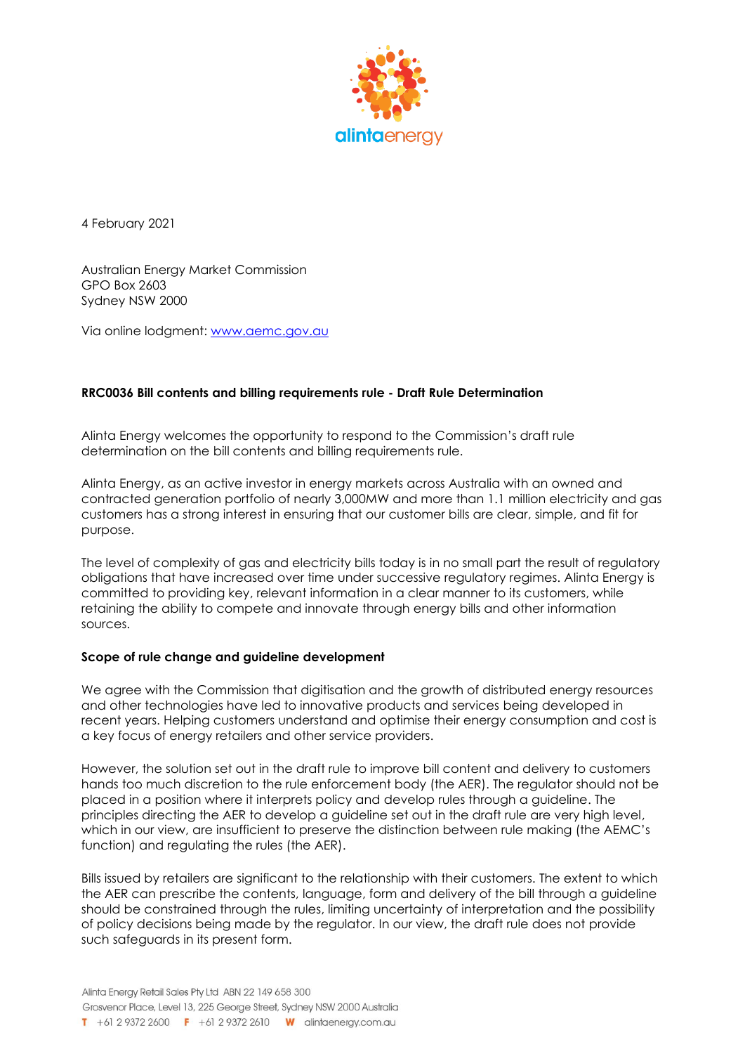

4 February 2021

Australian Energy Market Commission GPO Box 2603 Sydney NSW 2000

Via online lodgment: [www.aemc.gov.au](http://www.aemc.gov.au/)

## **RRC0036 Bill contents and billing requirements rule - Draft Rule Determination**

Alinta Energy welcomes the opportunity to respond to the Commission's draft rule determination on the bill contents and billing requirements rule.

Alinta Energy, as an active investor in energy markets across Australia with an owned and contracted generation portfolio of nearly 3,000MW and more than 1.1 million electricity and gas customers has a strong interest in ensuring that our customer bills are clear, simple, and fit for purpose.

The level of complexity of gas and electricity bills today is in no small part the result of regulatory obligations that have increased over time under successive regulatory regimes. Alinta Energy is committed to providing key, relevant information in a clear manner to its customers, while retaining the ability to compete and innovate through energy bills and other information sources.

### **Scope of rule change and guideline development**

We agree with the Commission that digitisation and the growth of distributed energy resources and other technologies have led to innovative products and services being developed in recent years. Helping customers understand and optimise their energy consumption and cost is a key focus of energy retailers and other service providers.

However, the solution set out in the draft rule to improve bill content and delivery to customers hands too much discretion to the rule enforcement body (the AER). The regulator should not be placed in a position where it interprets policy and develop rules through a guideline. The principles directing the AER to develop a guideline set out in the draft rule are very high level, which in our view, are insufficient to preserve the distinction between rule making (the AEMC's function) and regulating the rules (the AER).

Bills issued by retailers are significant to the relationship with their customers. The extent to which the AER can prescribe the contents, language, form and delivery of the bill through a guideline should be constrained through the rules, limiting uncertainty of interpretation and the possibility of policy decisions being made by the regulator. In our view, the draft rule does not provide such safeguards in its present form.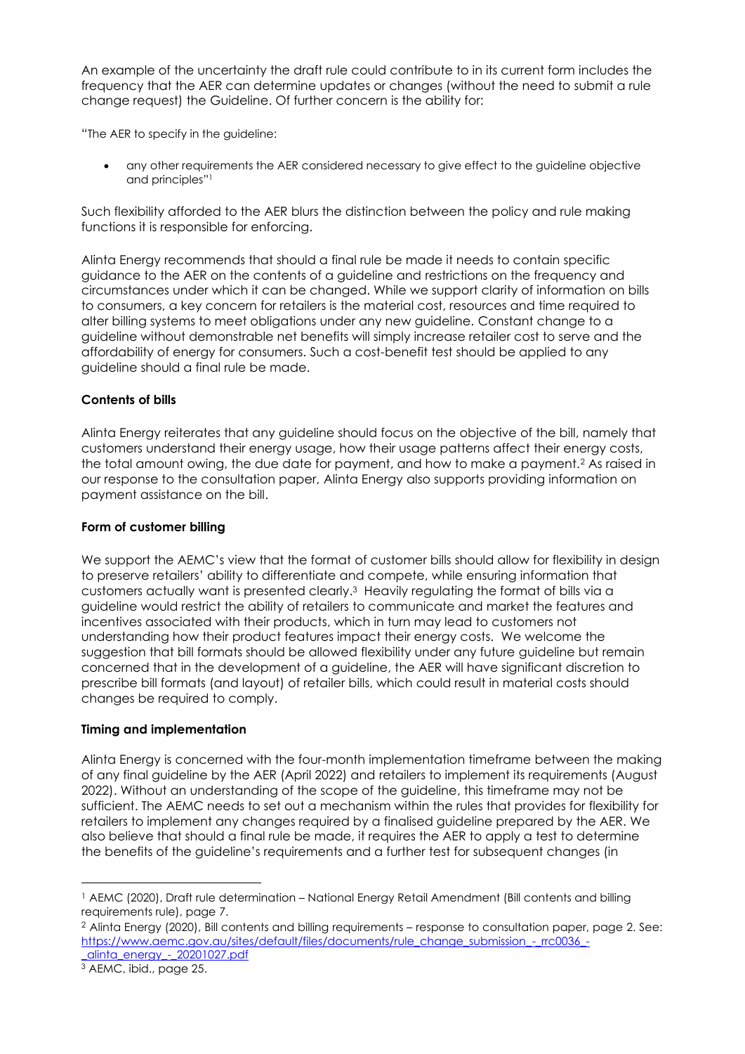An example of the uncertainty the draft rule could contribute to in its current form includes the frequency that the AER can determine updates or changes (without the need to submit a rule change request) the Guideline. Of further concern is the ability for:

"The AER to specify in the guideline:

• any other requirements the AER considered necessary to give effect to the guideline objective and principles" 1

Such flexibility afforded to the AER blurs the distinction between the policy and rule making functions it is responsible for enforcing.

Alinta Energy recommends that should a final rule be made it needs to contain specific guidance to the AER on the contents of a guideline and restrictions on the frequency and circumstances under which it can be changed. While we support clarity of information on bills to consumers, a key concern for retailers is the material cost, resources and time required to alter billing systems to meet obligations under any new guideline. Constant change to a guideline without demonstrable net benefits will simply increase retailer cost to serve and the affordability of energy for consumers. Such a cost-benefit test should be applied to any guideline should a final rule be made.

# **Contents of bills**

Alinta Energy reiterates that any guideline should focus on the objective of the bill, namely that customers understand their energy usage, how their usage patterns affect their energy costs, the total amount owing, the due date for payment, and how to make a payment.<sup>2</sup> As raised in our response to the consultation paper, Alinta Energy also supports providing information on payment assistance on the bill.

## **Form of customer billing**

We support the AEMC's view that the format of customer bills should allow for flexibility in design to preserve retailers' ability to differentiate and compete, while ensuring information that customers actually want is presented clearly. <sup>3</sup> Heavily regulating the format of bills via a guideline would restrict the ability of retailers to communicate and market the features and incentives associated with their products, which in turn may lead to customers not understanding how their product features impact their energy costs. We welcome the suggestion that bill formats should be allowed flexibility under any future guideline but remain concerned that in the development of a guideline, the AER will have significant discretion to prescribe bill formats (and layout) of retailer bills, which could result in material costs should changes be required to comply.

### **Timing and implementation**

Alinta Energy is concerned with the four-month implementation timeframe between the making of any final guideline by the AER (April 2022) and retailers to implement its requirements (August 2022). Without an understanding of the scope of the guideline, this timeframe may not be sufficient. The AEMC needs to set out a mechanism within the rules that provides for flexibility for retailers to implement any changes required by a finalised guideline prepared by the AER. We also believe that should a final rule be made, it requires the AER to apply a test to determine the benefits of the guideline's requirements and a further test for subsequent changes (in

<sup>1</sup> AEMC (2020), Draft rule determination – National Energy Retail Amendment (Bill contents and billing requirements rule), page 7.

<sup>2</sup> Alinta Energy (2020), Bill contents and billing requirements – response to consultation paper, page 2. See: [https://www.aemc.gov.au/sites/default/files/documents/rule\\_change\\_submission\\_-\\_rrc0036\\_-](https://www.aemc.gov.au/sites/default/files/documents/rule_change_submission_-_rrc0036_-_alinta_energy_-_20201027.pdf) [\\_alinta\\_energy\\_-\\_20201027.pdf](https://www.aemc.gov.au/sites/default/files/documents/rule_change_submission_-_rrc0036_-_alinta_energy_-_20201027.pdf)

<sup>3</sup> AEMC, ibid., page 25.